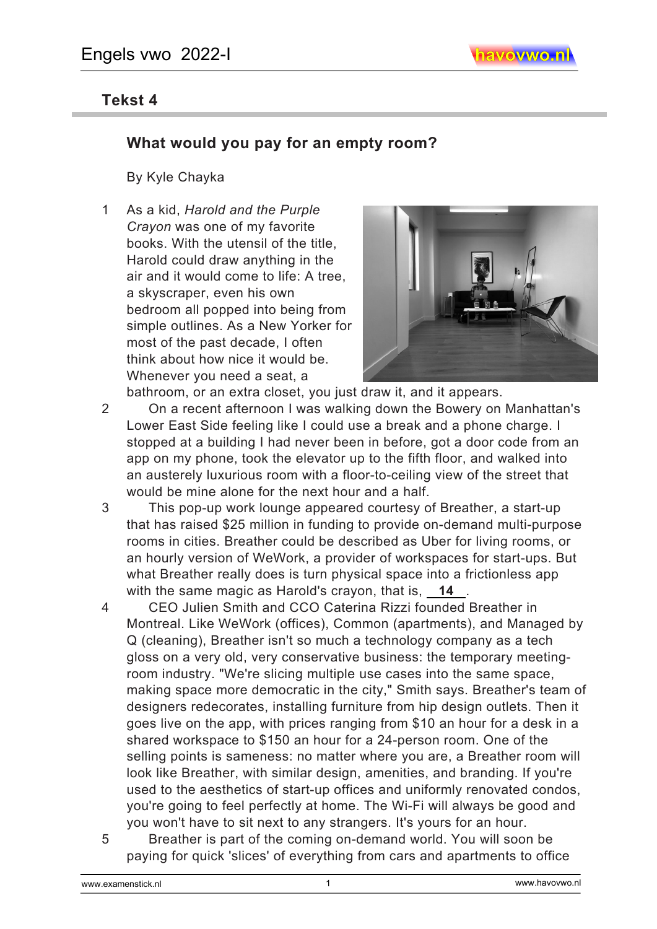## **Tekst 4**

## **What would you pay for an empty room?**

By Kyle Chayka

1 As a kid, *Harold and the Purple Crayon* was one of my favorite books. With the utensil of the title, Harold could draw anything in the air and it would come to life: A tree, a skyscraper, even his own bedroom all popped into being from simple outlines. As a New Yorker for most of the past decade, I often think about how nice it would be. Whenever you need a seat, a



bathroom, or an extra closet, you just draw it, and it appears.

- 2 On a recent afternoon I was walking down the Bowery on Manhattan's Lower East Side feeling like I could use a break and a phone charge. I stopped at a building I had never been in before, got a door code from an app on my phone, took the elevator up to the fifth floor, and walked into an austerely luxurious room with a floor-to-ceiling view of the street that would be mine alone for the next hour and a half.
- 3 This pop-up work lounge appeared courtesy of Breather, a start-up that has raised \$25 million in funding to provide on-demand multi-purpose rooms in cities. Breather could be described as Uber for living rooms, or an hourly version of WeWork, a provider of workspaces for start-ups. But what Breather really does is turn physical space into a frictionless app with the same magic as Harold's crayon, that is, **14** .
- 4 CEO Julien Smith and CCO Caterina Rizzi founded Breather in Montreal. Like WeWork (offices), Common (apartments), and Managed by Q (cleaning), Breather isn't so much a technology company as a tech gloss on a very old, very conservative business: the temporary meetingroom industry. "We're slicing multiple use cases into the same space, making space more democratic in the city," Smith says. Breather's team of designers redecorates, installing furniture from hip design outlets. Then it goes live on the app, with prices ranging from \$10 an hour for a desk in a shared workspace to \$150 an hour for a 24-person room. One of the selling points is sameness: no matter where you are, a Breather room will look like Breather, with similar design, amenities, and branding. If you're used to the aesthetics of start-up offices and uniformly renovated condos, you're going to feel perfectly at home. The Wi-Fi will always be good and you won't have to sit next to any strangers. It's yours for an hour.
- 5 Breather is part of the coming on-demand world. You will soon be paying for quick 'slices' of everything from cars and apartments to office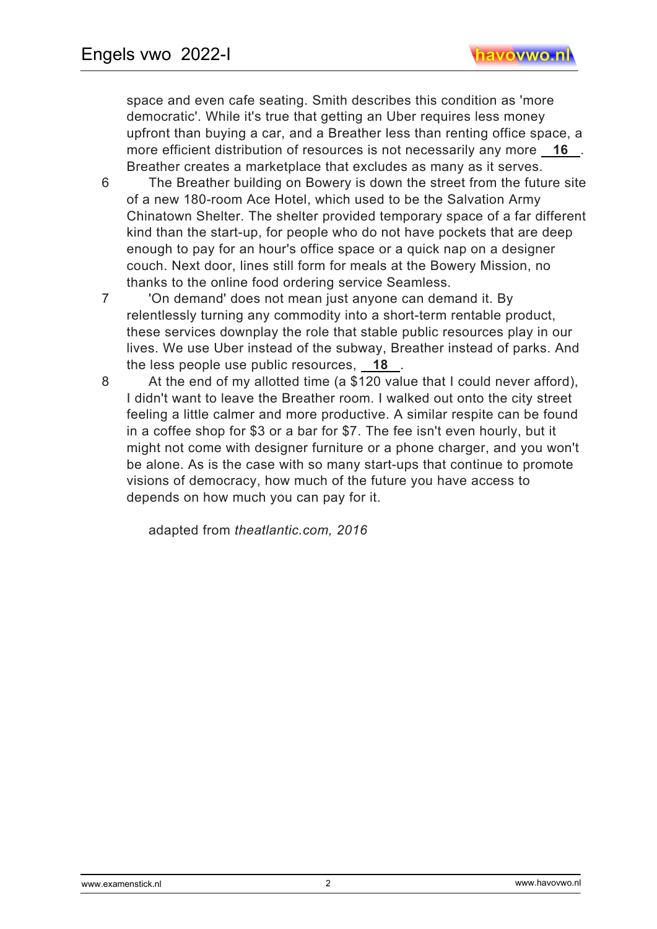space and even cafe seating. Smith describes this condition as 'more democratic'. While it's true that getting an Uber requires less money upfront than buying a car, and a Breather less than renting office space, a more efficient distribution of resources is not necessarily any more **16** . Breather creates a marketplace that excludes as many as it serves.

- 6 The Breather building on Bowery is down the street from the future site of a new 180-room Ace Hotel, which used to be the Salvation Army Chinatown Shelter. The shelter provided temporary space of a far different kind than the start-up, for people who do not have pockets that are deep enough to pay for an hour's office space or a quick nap on a designer couch. Next door, lines still form for meals at the Bowery Mission, no thanks to the online food ordering service Seamless.
- 7 'On demand' does not mean just anyone can demand it. By relentlessly turning any commodity into a short-term rentable product, these services downplay the role that stable public resources play in our lives. We use Uber instead of the subway, Breather instead of parks. And the less people use public resources, **18** .
- 8 At the end of my allotted time (a \$120 value that I could never afford), I didn't want to leave the Breather room. I walked out onto the city street feeling a little calmer and more productive. A similar respite can be found in a coffee shop for \$3 or a bar for \$7. The fee isn't even hourly, but it might not come with designer furniture or a phone charger, and you won't be alone. As is the case with so many start-ups that continue to promote visions of democracy, how much of the future you have access to depends on how much you can pay for it.

adapted from *theatlantic.com, 2016* 

2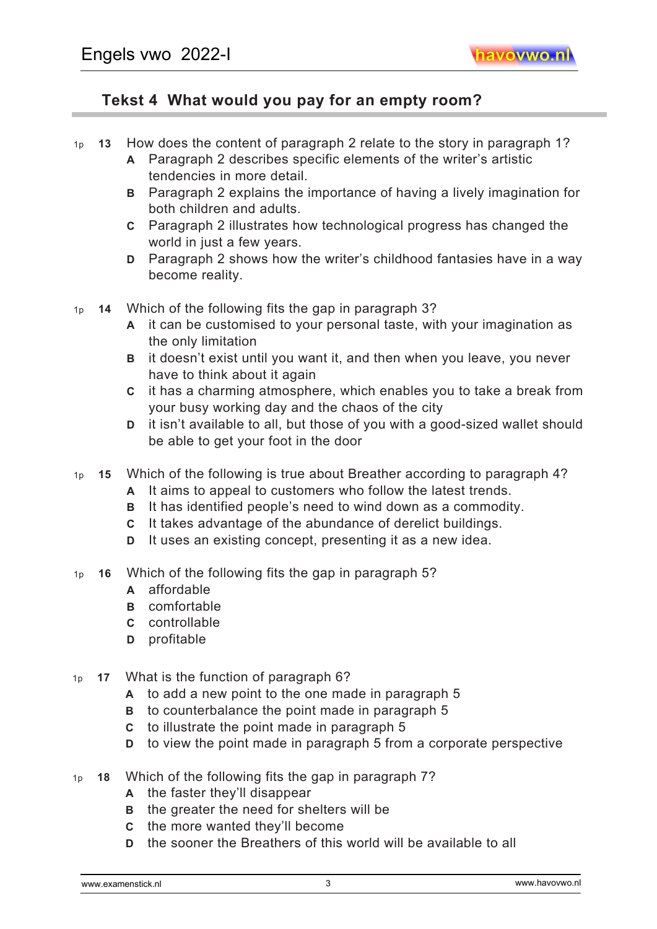## **Tekst 4 What would you pay for an empty room?**

- 1p **13** How does the content of paragraph 2 relate to the story in paragraph 1?
	- **A** Paragraph 2 describes specific elements of the writer's artistic tendencies in more detail.
	- **B** Paragraph 2 explains the importance of having a lively imagination for both children and adults.
	- **C** Paragraph 2 illustrates how technological progress has changed the world in just a few years.
	- **D** Paragraph 2 shows how the writer's childhood fantasies have in a way become reality.
- 1p **14** Which of the following fits the gap in paragraph 3?
	- **A** it can be customised to your personal taste, with your imagination as the only limitation
	- **B** it doesn't exist until you want it, and then when you leave, you never have to think about it again
	- **C** it has a charming atmosphere, which enables you to take a break from your busy working day and the chaos of the city
	- **D** it isn't available to all, but those of you with a good-sized wallet should be able to get your foot in the door
- 1p **15** Which of the following is true about Breather according to paragraph 4?
	- **A** It aims to appeal to customers who follow the latest trends.
	- **B** It has identified people's need to wind down as a commodity.
	- **C** It takes advantage of the abundance of derelict buildings.
	- **D** It uses an existing concept, presenting it as a new idea.
- 1p **16** Which of the following fits the gap in paragraph 5?
	- **A** affordable
	- **B** comfortable
	- **C** controllable
	- **D** profitable
- 1p **17** What is the function of paragraph 6?
	- **A** to add a new point to the one made in paragraph 5
	- **B** to counterbalance the point made in paragraph 5
	- **C** to illustrate the point made in paragraph 5
	- **D** to view the point made in paragraph 5 from a corporate perspective
- 1p **18** Which of the following fits the gap in paragraph 7?
	- **A** the faster they'll disappear
	- **B** the greater the need for shelters will be
	- **C** the more wanted they'll become
	- **D** the sooner the Breathers of this world will be available to all